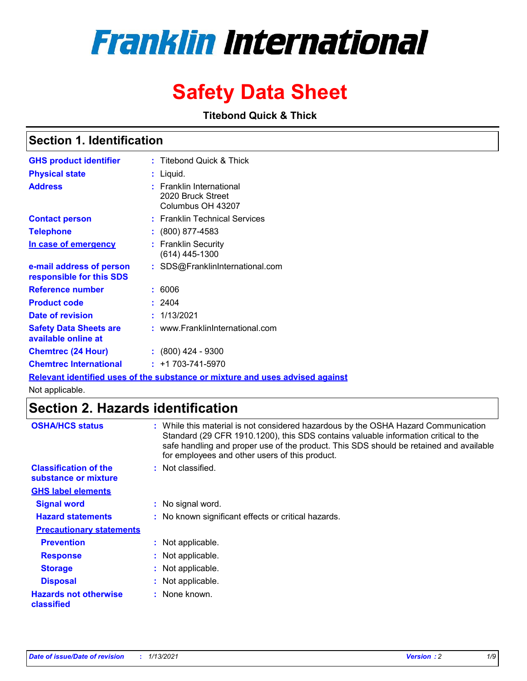# **Franklin International**

## **Safety Data Sheet**

**Titebond Quick & Thick**

### **Section 1. Identification**

| <b>GHS product identifier</b>                        | : Titebond Quick & Thick                                                |
|------------------------------------------------------|-------------------------------------------------------------------------|
| <b>Physical state</b>                                | : Liquid.                                                               |
| <b>Address</b>                                       | <b>Franklin International</b><br>2020 Bruck Street<br>Columbus OH 43207 |
| <b>Contact person</b>                                | : Franklin Technical Services                                           |
| <b>Telephone</b>                                     | $\colon$ (800) 877-4583                                                 |
| In case of emergency                                 | <b>Franklin Security</b><br>(614) 445-1300                              |
| e-mail address of person<br>responsible for this SDS | : SDS@FranklinInternational.com                                         |
| Reference number                                     | : 6006                                                                  |
| <b>Product code</b>                                  | : 2404                                                                  |
| Date of revision                                     | : 1/13/2021                                                             |
| <b>Safety Data Sheets are</b><br>available online at | : www.FranklinInternational.com                                         |
| <b>Chemtrec (24 Hour)</b>                            | $: (800)$ 424 - 9300                                                    |
| <b>Chemtrec International</b>                        | $: +1703 - 741 - 5970$                                                  |

**Relevant identified uses of the substance or mixture and uses advised against**

Not applicable.

### **Section 2. Hazards identification**

| <b>OSHA/HCS status</b>                               | : While this material is not considered hazardous by the OSHA Hazard Communication<br>Standard (29 CFR 1910.1200), this SDS contains valuable information critical to the<br>safe handling and proper use of the product. This SDS should be retained and available<br>for employees and other users of this product. |
|------------------------------------------------------|-----------------------------------------------------------------------------------------------------------------------------------------------------------------------------------------------------------------------------------------------------------------------------------------------------------------------|
| <b>Classification of the</b><br>substance or mixture | : Not classified.                                                                                                                                                                                                                                                                                                     |
| <b>GHS label elements</b>                            |                                                                                                                                                                                                                                                                                                                       |
| <b>Signal word</b>                                   | : No signal word.                                                                                                                                                                                                                                                                                                     |
| <b>Hazard statements</b>                             | : No known significant effects or critical hazards.                                                                                                                                                                                                                                                                   |
| <b>Precautionary statements</b>                      |                                                                                                                                                                                                                                                                                                                       |
| <b>Prevention</b>                                    | : Not applicable.                                                                                                                                                                                                                                                                                                     |
| <b>Response</b>                                      | : Not applicable.                                                                                                                                                                                                                                                                                                     |
| <b>Storage</b>                                       | : Not applicable.                                                                                                                                                                                                                                                                                                     |
| <b>Disposal</b>                                      | : Not applicable.                                                                                                                                                                                                                                                                                                     |
| <b>Hazards not otherwise</b><br>classified           | : None known.                                                                                                                                                                                                                                                                                                         |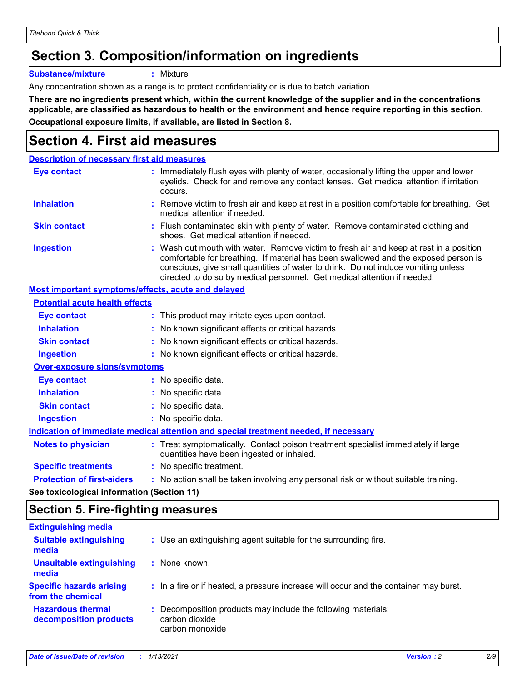### **Section 3. Composition/information on ingredients**

**Substance/mixture :** Mixture

Any concentration shown as a range is to protect confidentiality or is due to batch variation.

**There are no ingredients present which, within the current knowledge of the supplier and in the concentrations applicable, are classified as hazardous to health or the environment and hence require reporting in this section. Occupational exposure limits, if available, are listed in Section 8.**

### **Section 4. First aid measures**

| <b>Description of necessary first aid measures</b>        |                                                                                                                                                                                                                                                                                                                                                |
|-----------------------------------------------------------|------------------------------------------------------------------------------------------------------------------------------------------------------------------------------------------------------------------------------------------------------------------------------------------------------------------------------------------------|
| <b>Eye contact</b>                                        | : Immediately flush eyes with plenty of water, occasionally lifting the upper and lower<br>eyelids. Check for and remove any contact lenses. Get medical attention if irritation<br>occurs.                                                                                                                                                    |
| <b>Inhalation</b>                                         | : Remove victim to fresh air and keep at rest in a position comfortable for breathing. Get<br>medical attention if needed.                                                                                                                                                                                                                     |
| <b>Skin contact</b>                                       | : Flush contaminated skin with plenty of water. Remove contaminated clothing and<br>shoes. Get medical attention if needed.                                                                                                                                                                                                                    |
| <b>Ingestion</b>                                          | : Wash out mouth with water. Remove victim to fresh air and keep at rest in a position<br>comfortable for breathing. If material has been swallowed and the exposed person is<br>conscious, give small quantities of water to drink. Do not induce vomiting unless<br>directed to do so by medical personnel. Get medical attention if needed. |
| <b>Most important symptoms/effects, acute and delayed</b> |                                                                                                                                                                                                                                                                                                                                                |
| <b>Potential acute health effects</b>                     |                                                                                                                                                                                                                                                                                                                                                |
| <b>Eye contact</b>                                        | : This product may irritate eyes upon contact.                                                                                                                                                                                                                                                                                                 |
| <b>Inhalation</b>                                         | : No known significant effects or critical hazards.                                                                                                                                                                                                                                                                                            |
| <b>Skin contact</b>                                       | : No known significant effects or critical hazards.                                                                                                                                                                                                                                                                                            |
| <b>Ingestion</b>                                          | : No known significant effects or critical hazards.                                                                                                                                                                                                                                                                                            |
| <b>Over-exposure signs/symptoms</b>                       |                                                                                                                                                                                                                                                                                                                                                |
| Eye contact                                               | : No specific data.                                                                                                                                                                                                                                                                                                                            |
| <b>Inhalation</b>                                         | : No specific data.                                                                                                                                                                                                                                                                                                                            |
| <b>Skin contact</b>                                       | : No specific data.                                                                                                                                                                                                                                                                                                                            |
| <b>Ingestion</b>                                          | : No specific data.                                                                                                                                                                                                                                                                                                                            |
|                                                           | Indication of immediate medical attention and special treatment needed, if necessary                                                                                                                                                                                                                                                           |
| <b>Notes to physician</b>                                 | : Treat symptomatically. Contact poison treatment specialist immediately if large<br>quantities have been ingested or inhaled.                                                                                                                                                                                                                 |
| <b>Specific treatments</b>                                | : No specific treatment.                                                                                                                                                                                                                                                                                                                       |
| <b>Protection of first-aiders</b>                         | : No action shall be taken involving any personal risk or without suitable training.                                                                                                                                                                                                                                                           |
|                                                           |                                                                                                                                                                                                                                                                                                                                                |

**See toxicological information (Section 11)**

### **Section 5. Fire-fighting measures**

| : Use an extinguishing agent suitable for the surrounding fire.                                    |
|----------------------------------------------------------------------------------------------------|
| : None known.                                                                                      |
| : In a fire or if heated, a pressure increase will occur and the container may burst.              |
| : Decomposition products may include the following materials:<br>carbon dioxide<br>carbon monoxide |
|                                                                                                    |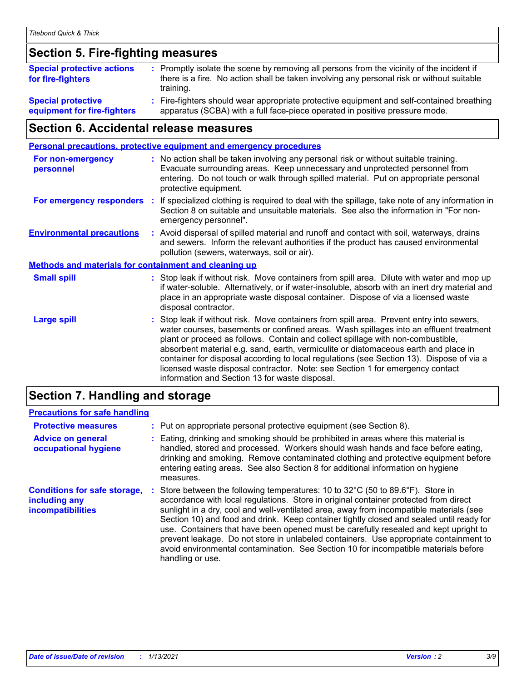### **Section 5. Fire-fighting measures**

| <b>Special protective actions</b><br>for fire-fighters | : Promptly isolate the scene by removing all persons from the vicinity of the incident if<br>there is a fire. No action shall be taken involving any personal risk or without suitable<br>training. |
|--------------------------------------------------------|-----------------------------------------------------------------------------------------------------------------------------------------------------------------------------------------------------|
| <b>Special protective</b>                              | Fire-fighters should wear appropriate protective equipment and self-contained breathing                                                                                                             |
| equipment for fire-fighters                            | apparatus (SCBA) with a full face-piece operated in positive pressure mode.                                                                                                                         |

### **Section 6. Accidental release measures**

|                                                              |    | <b>Personal precautions, protective equipment and emergency procedures</b>                                                                                                                                                                                                                                                                                                                                                                                                                                                                                                                 |
|--------------------------------------------------------------|----|--------------------------------------------------------------------------------------------------------------------------------------------------------------------------------------------------------------------------------------------------------------------------------------------------------------------------------------------------------------------------------------------------------------------------------------------------------------------------------------------------------------------------------------------------------------------------------------------|
| <b>For non-emergency</b><br>personnel                        |    | : No action shall be taken involving any personal risk or without suitable training.<br>Evacuate surrounding areas. Keep unnecessary and unprotected personnel from<br>entering. Do not touch or walk through spilled material. Put on appropriate personal<br>protective equipment.                                                                                                                                                                                                                                                                                                       |
| For emergency responders                                     | ÷. | If specialized clothing is required to deal with the spillage, take note of any information in<br>Section 8 on suitable and unsuitable materials. See also the information in "For non-<br>emergency personnel".                                                                                                                                                                                                                                                                                                                                                                           |
| <b>Environmental precautions</b>                             |    | : Avoid dispersal of spilled material and runoff and contact with soil, waterways, drains<br>and sewers. Inform the relevant authorities if the product has caused environmental<br>pollution (sewers, waterways, soil or air).                                                                                                                                                                                                                                                                                                                                                            |
| <b>Methods and materials for containment and cleaning up</b> |    |                                                                                                                                                                                                                                                                                                                                                                                                                                                                                                                                                                                            |
| <b>Small spill</b>                                           |    | : Stop leak if without risk. Move containers from spill area. Dilute with water and mop up<br>if water-soluble. Alternatively, or if water-insoluble, absorb with an inert dry material and<br>place in an appropriate waste disposal container. Dispose of via a licensed waste<br>disposal contractor.                                                                                                                                                                                                                                                                                   |
| <b>Large spill</b>                                           |    | : Stop leak if without risk. Move containers from spill area. Prevent entry into sewers,<br>water courses, basements or confined areas. Wash spillages into an effluent treatment<br>plant or proceed as follows. Contain and collect spillage with non-combustible,<br>absorbent material e.g. sand, earth, vermiculite or diatomaceous earth and place in<br>container for disposal according to local regulations (see Section 13). Dispose of via a<br>licensed waste disposal contractor. Note: see Section 1 for emergency contact<br>information and Section 13 for waste disposal. |
|                                                              |    |                                                                                                                                                                                                                                                                                                                                                                                                                                                                                                                                                                                            |

### **Section 7. Handling and storage**

### **Precautions for safe handling**

| <b>Protective measures</b>                                                | : Put on appropriate personal protective equipment (see Section 8).                                                                                                                                                                                                                                                                                                                                                                                                                                                                                                                                                                                                           |
|---------------------------------------------------------------------------|-------------------------------------------------------------------------------------------------------------------------------------------------------------------------------------------------------------------------------------------------------------------------------------------------------------------------------------------------------------------------------------------------------------------------------------------------------------------------------------------------------------------------------------------------------------------------------------------------------------------------------------------------------------------------------|
| <b>Advice on general</b><br>occupational hygiene                          | Eating, drinking and smoking should be prohibited in areas where this material is<br>handled, stored and processed. Workers should wash hands and face before eating,<br>drinking and smoking. Remove contaminated clothing and protective equipment before<br>entering eating areas. See also Section 8 for additional information on hygiene<br>measures.                                                                                                                                                                                                                                                                                                                   |
| <b>Conditions for safe storage,</b><br>including any<br>incompatibilities | Store between the following temperatures: 10 to $32^{\circ}$ C (50 to 89.6 $^{\circ}$ F). Store in<br>accordance with local regulations. Store in original container protected from direct<br>sunlight in a dry, cool and well-ventilated area, away from incompatible materials (see<br>Section 10) and food and drink. Keep container tightly closed and sealed until ready for<br>use. Containers that have been opened must be carefully resealed and kept upright to<br>prevent leakage. Do not store in unlabeled containers. Use appropriate containment to<br>avoid environmental contamination. See Section 10 for incompatible materials before<br>handling or use. |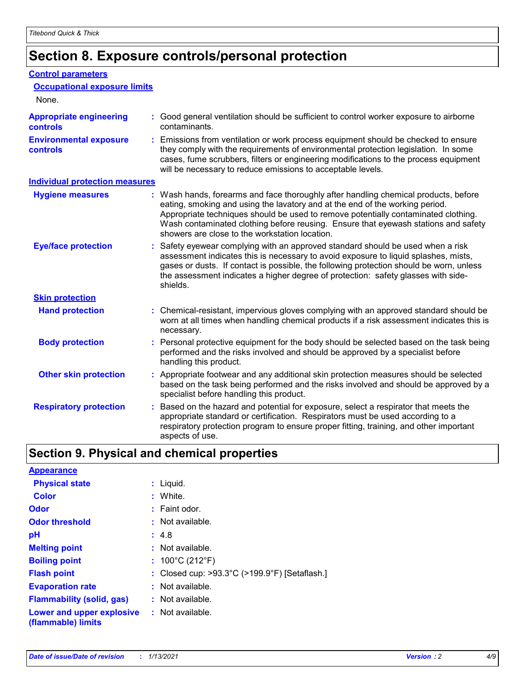### **Section 8. Exposure controls/personal protection**

#### **Control parameters**

| <b>Occupational exposure limits</b><br>None.      |                                                                                                                                                                                                                                                                                                                                                                                                   |
|---------------------------------------------------|---------------------------------------------------------------------------------------------------------------------------------------------------------------------------------------------------------------------------------------------------------------------------------------------------------------------------------------------------------------------------------------------------|
| <b>Appropriate engineering</b><br><b>controls</b> | : Good general ventilation should be sufficient to control worker exposure to airborne<br>contaminants.                                                                                                                                                                                                                                                                                           |
| <b>Environmental exposure</b><br><b>controls</b>  | : Emissions from ventilation or work process equipment should be checked to ensure<br>they comply with the requirements of environmental protection legislation. In some<br>cases, fume scrubbers, filters or engineering modifications to the process equipment<br>will be necessary to reduce emissions to acceptable levels.                                                                   |
| <b>Individual protection measures</b>             |                                                                                                                                                                                                                                                                                                                                                                                                   |
| <b>Hygiene measures</b>                           | : Wash hands, forearms and face thoroughly after handling chemical products, before<br>eating, smoking and using the lavatory and at the end of the working period.<br>Appropriate techniques should be used to remove potentially contaminated clothing.<br>Wash contaminated clothing before reusing. Ensure that eyewash stations and safety<br>showers are close to the workstation location. |
| <b>Eye/face protection</b>                        | : Safety eyewear complying with an approved standard should be used when a risk<br>assessment indicates this is necessary to avoid exposure to liquid splashes, mists,<br>gases or dusts. If contact is possible, the following protection should be worn, unless<br>the assessment indicates a higher degree of protection: safety glasses with side-<br>shields.                                |
| <b>Skin protection</b>                            |                                                                                                                                                                                                                                                                                                                                                                                                   |
| <b>Hand protection</b>                            | : Chemical-resistant, impervious gloves complying with an approved standard should be<br>worn at all times when handling chemical products if a risk assessment indicates this is<br>necessary.                                                                                                                                                                                                   |
| <b>Body protection</b>                            | : Personal protective equipment for the body should be selected based on the task being<br>performed and the risks involved and should be approved by a specialist before<br>handling this product.                                                                                                                                                                                               |
| <b>Other skin protection</b>                      | : Appropriate footwear and any additional skin protection measures should be selected<br>based on the task being performed and the risks involved and should be approved by a<br>specialist before handling this product.                                                                                                                                                                         |
| <b>Respiratory protection</b>                     | Based on the hazard and potential for exposure, select a respirator that meets the<br>appropriate standard or certification. Respirators must be used according to a<br>respiratory protection program to ensure proper fitting, training, and other important<br>aspects of use.                                                                                                                 |

### **Section 9. Physical and chemical properties**

| <b>Appearance</b>                                                       |                                                                    |
|-------------------------------------------------------------------------|--------------------------------------------------------------------|
| <b>Physical state</b>                                                   | : Liquid.                                                          |
| <b>Color</b>                                                            | : White.                                                           |
| <b>Odor</b>                                                             | $:$ Faint odor.                                                    |
| <b>Odor threshold</b>                                                   | $:$ Not available.                                                 |
| рH                                                                      | : 4.8                                                              |
| <b>Melting point</b>                                                    | $:$ Not available.                                                 |
| <b>Boiling point</b>                                                    | : $100^{\circ}$ C (212 $^{\circ}$ F)                               |
| <b>Flash point</b>                                                      | : Closed cup: $>93.3^{\circ}$ C ( $>199.9^{\circ}$ F) [Setaflash.] |
| <b>Evaporation rate</b>                                                 | $:$ Not available.                                                 |
| <b>Flammability (solid, gas)</b>                                        | $:$ Not available.                                                 |
| <b>Lower and upper explosive : Not available.</b><br>(flammable) limits |                                                                    |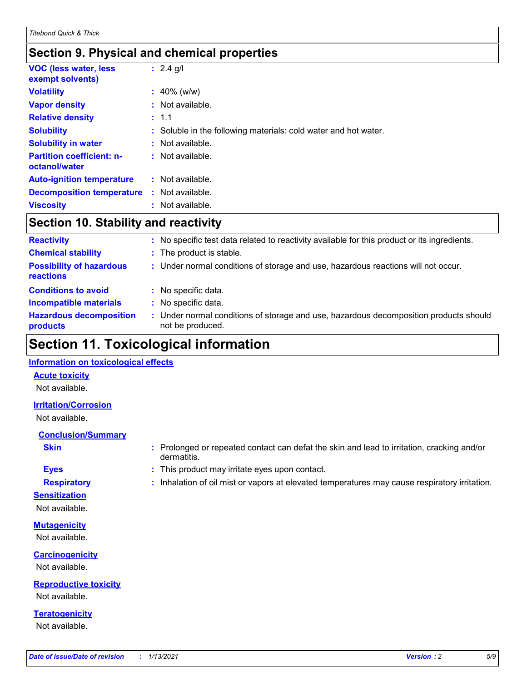### **Section 9. Physical and chemical properties**

| <b>VOC (less water, less)</b><br>exempt solvents) | : $2.4$ g/l                                                     |
|---------------------------------------------------|-----------------------------------------------------------------|
| <b>Volatility</b>                                 | $: 40\%$ (w/w)                                                  |
| <b>Vapor density</b>                              | $:$ Not available.                                              |
| <b>Relative density</b>                           | : 1.1                                                           |
| <b>Solubility</b>                                 | : Soluble in the following materials: cold water and hot water. |
| <b>Solubility in water</b>                        | $:$ Not available.                                              |
| <b>Partition coefficient: n-</b><br>octanol/water | $:$ Not available.                                              |
| <b>Auto-ignition temperature</b>                  | : Not available.                                                |
| <b>Decomposition temperature</b>                  | $:$ Not available.                                              |
| <b>Viscosity</b>                                  | $:$ Not available.                                              |

### **Section 10. Stability and reactivity**

| <b>Reactivity</b>                            |    | No specific test data related to reactivity available for this product or its ingredients.              |
|----------------------------------------------|----|---------------------------------------------------------------------------------------------------------|
| <b>Chemical stability</b>                    |    | : The product is stable.                                                                                |
| <b>Possibility of hazardous</b><br>reactions |    | : Under normal conditions of storage and use, hazardous reactions will not occur.                       |
| <b>Conditions to avoid</b>                   |    | : No specific data.                                                                                     |
| <b>Incompatible materials</b>                | ÷. | No specific data.                                                                                       |
| <b>Hazardous decomposition</b><br>products   |    | Under normal conditions of storage and use, hazardous decomposition products should<br>not be produced. |

### **Section 11. Toxicological information**

#### **Information on toxicological effects**

#### **Acute toxicity**

Not available.

#### **Irritation/Corrosion**

Not available.

#### **Conclusion/Summary**

- 
- **Sensitization**

Not available.

**Mutagenicity** Not available.

**Carcinogenicity** Not available.

**Reproductive toxicity** Not available.

**Teratogenicity** Not available.

- **Skin Example 3 :** Prolonged or repeated contact can defat the skin and lead to irritation, cracking and/or dermatitis.
- **Eyes :** This product may irritate eyes upon contact.
- **Respiratory :** Inhalation of oil mist or vapors at elevated temperatures may cause respiratory irritation.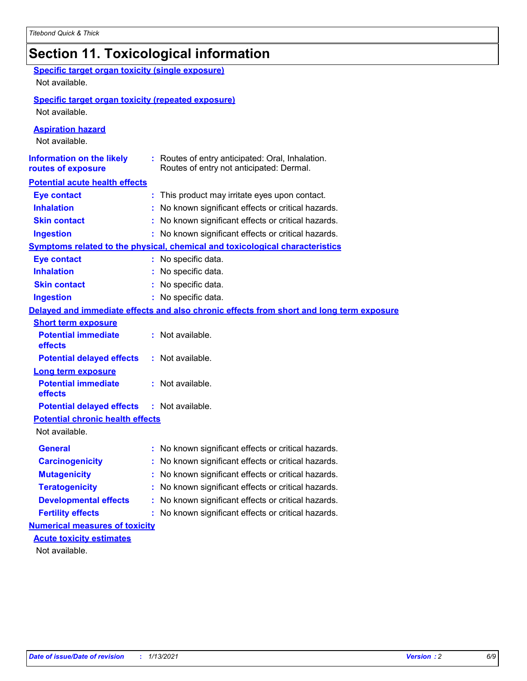### **Section 11. Toxicological information**

| <b>Specific target organ toxicity (single exposure)</b><br>Not available.   |                                                                                              |
|-----------------------------------------------------------------------------|----------------------------------------------------------------------------------------------|
| <b>Specific target organ toxicity (repeated exposure)</b><br>Not available. |                                                                                              |
| <b>Aspiration hazard</b><br>Not available.                                  |                                                                                              |
| <b>Information on the likely</b><br>routes of exposure                      | : Routes of entry anticipated: Oral, Inhalation.<br>Routes of entry not anticipated: Dermal. |
| <b>Potential acute health effects</b>                                       |                                                                                              |
| <b>Eye contact</b>                                                          | : This product may irritate eyes upon contact.                                               |
| <b>Inhalation</b>                                                           | : No known significant effects or critical hazards.                                          |
| <b>Skin contact</b>                                                         | : No known significant effects or critical hazards.                                          |
| <b>Ingestion</b>                                                            | : No known significant effects or critical hazards.                                          |
|                                                                             | <b>Symptoms related to the physical, chemical and toxicological characteristics</b>          |
| <b>Eye contact</b>                                                          | : No specific data.                                                                          |
| <b>Inhalation</b>                                                           | : No specific data.                                                                          |
| <b>Skin contact</b>                                                         | : No specific data.                                                                          |
| <b>Ingestion</b>                                                            | : No specific data.                                                                          |
|                                                                             | Delayed and immediate effects and also chronic effects from short and long term exposure     |
| <b>Short term exposure</b>                                                  |                                                                                              |
| <b>Potential immediate</b><br>effects                                       | : Not available.                                                                             |
| <b>Potential delayed effects</b>                                            | : Not available.                                                                             |
| <b>Long term exposure</b>                                                   |                                                                                              |
| <b>Potential immediate</b><br>effects                                       | : Not available.                                                                             |
| <b>Potential delayed effects</b>                                            | : Not available.                                                                             |
| <b>Potential chronic health effects</b>                                     |                                                                                              |
| Not available.                                                              |                                                                                              |
| <b>General</b>                                                              | No known significant effects or critical hazards.                                            |
| <b>Carcinogenicity</b>                                                      | : No known significant effects or critical hazards.                                          |
| <b>Mutagenicity</b>                                                         | No known significant effects or critical hazards.                                            |
| <b>Teratogenicity</b>                                                       | No known significant effects or critical hazards.                                            |
| <b>Developmental effects</b>                                                | No known significant effects or critical hazards.                                            |
| <b>Fertility effects</b>                                                    | : No known significant effects or critical hazards.                                          |
| <b>Numerical measures of toxicity</b>                                       |                                                                                              |
| <b>Acute toxicity estimates</b>                                             |                                                                                              |
| Not available.                                                              |                                                                                              |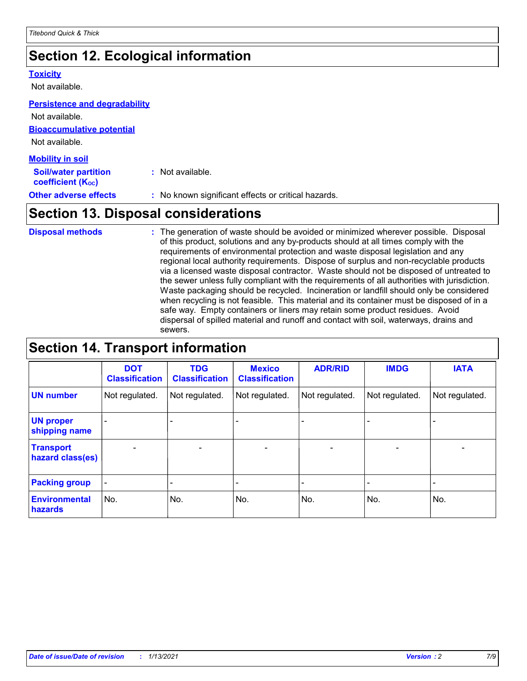### **Section 12. Ecological information**

#### **Toxicity**

Not available.

#### **Persistence and degradability**

**Bioaccumulative potential** Not available. Not available.

| <b>Mobility in soil</b>                                       |                                                     |
|---------------------------------------------------------------|-----------------------------------------------------|
| <b>Soil/water partition</b><br>coefficient (K <sub>oc</sub> ) | : Not available.                                    |
| <b>Other adverse effects</b>                                  | : No known significant effects or critical hazards. |

### **Section 13. Disposal considerations**

The generation of waste should be avoided or minimized wherever possible. Disposal of this product, solutions and any by-products should at all times comply with the requirements of environmental protection and waste disposal legislation and any regional local authority requirements. Dispose of surplus and non-recyclable products via a licensed waste disposal contractor. Waste should not be disposed of untreated to the sewer unless fully compliant with the requirements of all authorities with jurisdiction. Waste packaging should be recycled. Incineration or landfill should only be considered when recycling is not feasible. This material and its container must be disposed of in a safe way. Empty containers or liners may retain some product residues. Avoid dispersal of spilled material and runoff and contact with soil, waterways, drains and sewers. **Disposal methods :**

### **Section 14. Transport information**

|                                      | <b>DOT</b><br><b>Classification</b> | <b>TDG</b><br><b>Classification</b> | <b>Mexico</b><br><b>Classification</b> | <b>ADR/RID</b>               | <b>IMDG</b>              | <b>IATA</b>              |
|--------------------------------------|-------------------------------------|-------------------------------------|----------------------------------------|------------------------------|--------------------------|--------------------------|
| <b>UN number</b>                     | Not regulated.                      | Not regulated.                      | Not regulated.                         | Not regulated.               | Not regulated.           | Not regulated.           |
| <b>UN proper</b><br>shipping name    |                                     |                                     |                                        |                              |                          |                          |
| <b>Transport</b><br>hazard class(es) | $\overline{\phantom{0}}$            | $\overline{\phantom{0}}$            | $\qquad \qquad$                        | $\qquad \qquad \blacksquare$ | $\overline{\phantom{0}}$ | $\overline{\phantom{0}}$ |
| <b>Packing group</b>                 | $\blacksquare$                      | -                                   |                                        | -                            |                          | -                        |
| <b>Environmental</b><br>hazards      | No.                                 | No.                                 | No.                                    | No.                          | No.                      | No.                      |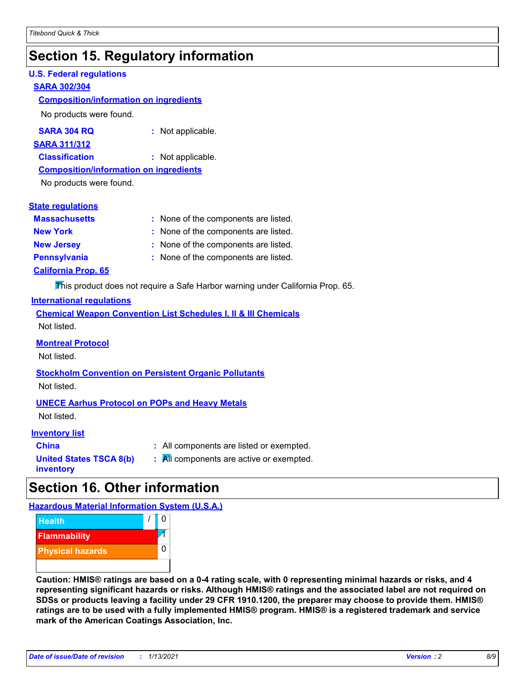### **Section 15. Regulatory information**

#### **U.S. Federal regulations**

#### **SARA 302/304**

#### **Composition/information on ingredients**

No products were found.

| SARA 304 RQ | Not applicable. |
|-------------|-----------------|
|-------------|-----------------|

#### **SARA 311/312**

**Classification :** Not applicable.

#### **Composition/information on ingredients**

No products were found.

#### **State regulations**

| <b>Massachusetts</b>       | : None of the components are listed. |
|----------------------------|--------------------------------------|
| <b>New York</b>            | : None of the components are listed. |
| <b>New Jersey</b>          | : None of the components are listed. |
| <b>Pennsylvania</b>        | : None of the components are listed. |
| <b>California Prop. 65</b> |                                      |

This product does not require a Safe Harbor warning under California Prop. 65.

#### **International regulations**

|             |  |  | <b>Chemical Weapon Convention List Schedules I, II &amp; III Chemicals</b> |  |
|-------------|--|--|----------------------------------------------------------------------------|--|
| Not listed. |  |  |                                                                            |  |

#### **Montreal Protocol**

Not listed.

### **Stockholm Convention on Persistent Organic Pollutants**

Not listed.

#### **UNECE Aarhus Protocol on POPs and Heavy Metals**

Not listed.

#### **Inventory list**

| <b>China</b>                   |  |
|--------------------------------|--|
| <b>United States TSCA 8(b)</b> |  |
| inventory                      |  |

**:** All components are listed or exempted. **:** All components are active or exempted.

### **Section 16. Other information**

**Hazardous Material Information System (U.S.A.)**



**Caution: HMIS® ratings are based on a 0-4 rating scale, with 0 representing minimal hazards or risks, and 4 representing significant hazards or risks. Although HMIS® ratings and the associated label are not required on SDSs or products leaving a facility under 29 CFR 1910.1200, the preparer may choose to provide them. HMIS® ratings are to be used with a fully implemented HMIS® program. HMIS® is a registered trademark and service mark of the American Coatings Association, Inc.**